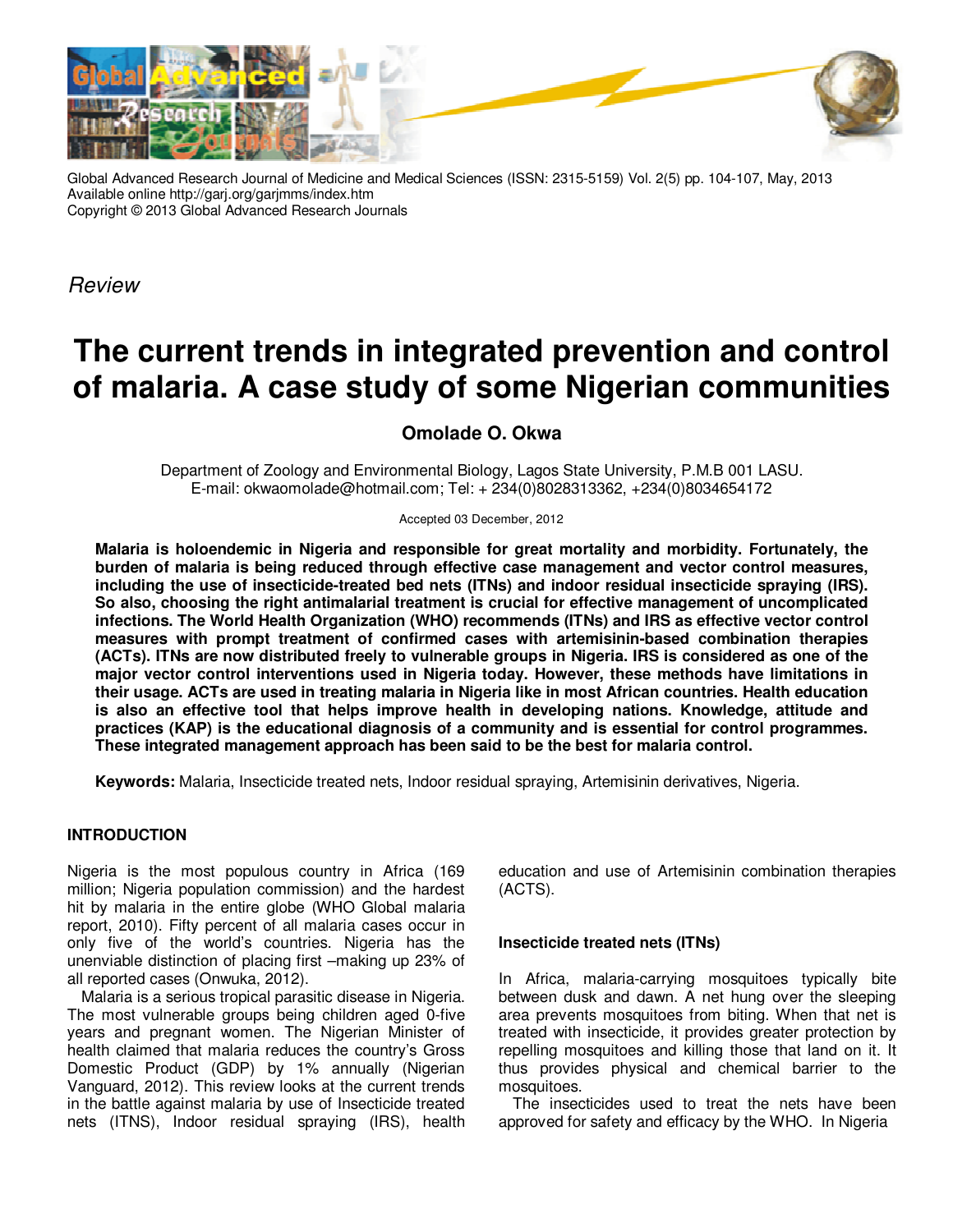

Global Advanced Research Journal of Medicine and Medical Sciences (ISSN: 2315-5159) Vol. 2(5) pp. 104-107, May, 2013 Available online http://garj.org/garjmms/index.htm Copyright © 2013 Global Advanced Research Journals

*Review*

# **The current trends in integrated prevention and control of malaria. A case study of some Nigerian communities**

# **Omolade O. Okwa**

Department of Zoology and Environmental Biology, Lagos State University, P.M.B 001 LASU. E-mail: okwaomolade@hotmail.com; Tel: + 234(0)8028313362, +234(0)8034654172

Accepted 03 December, 2012

**Malaria is holoendemic in Nigeria and responsible for great mortality and morbidity. Fortunately, the burden of malaria is being reduced through effective case management and vector control measures, including the use of insecticide-treated bed nets (ITNs) and indoor residual insecticide spraying (IRS). So also, choosing the right antimalarial treatment is crucial for effective management of uncomplicated infections. The World Health Organization (WHO) recommends (ITNs) and IRS as effective vector control measures with prompt treatment of confirmed cases with artemisinin-based combination therapies (ACTs). ITNs are now distributed freely to vulnerable groups in Nigeria. IRS is considered as one of the major vector control interventions used in Nigeria today. However, these methods have limitations in their usage. ACTs are used in treating malaria in Nigeria like in most African countries. Health education is also an effective tool that helps improve health in developing nations. Knowledge, attitude and practices (KAP) is the educational diagnosis of a community and is essential for control programmes. These integrated management approach has been said to be the best for malaria control.** 

**Keywords:** Malaria, Insecticide treated nets, Indoor residual spraying, Artemisinin derivatives, Nigeria.

# **INTRODUCTION**

Nigeria is the most populous country in Africa (169 million; Nigeria population commission) and the hardest hit by malaria in the entire globe (WHO Global malaria report, 2010). Fifty percent of all malaria cases occur in only five of the world's countries. Nigeria has the unenviable distinction of placing first –making up 23% of all reported cases (Onwuka, 2012).

Malaria is a serious tropical parasitic disease in Nigeria. The most vulnerable groups being children aged 0-five years and pregnant women. The Nigerian Minister of health claimed that malaria reduces the country's Gross Domestic Product (GDP) by 1% annually (Nigerian Vanguard, 2012). This review looks at the current trends in the battle against malaria by use of Insecticide treated nets (ITNS), Indoor residual spraying (IRS), health education and use of Artemisinin combination therapies (ACTS).

#### **Insecticide treated nets (ITNs)**

In Africa, malaria-carrying mosquitoes typically bite between dusk and dawn. A net hung over the sleeping area prevents mosquitoes from biting. When that net is treated with insecticide, it provides greater protection by repelling mosquitoes and killing those that land on it. It thus provides physical and chemical barrier to the mosquitoes.

The insecticides used to treat the nets have been approved for safety and efficacy by the WHO. In Nigeria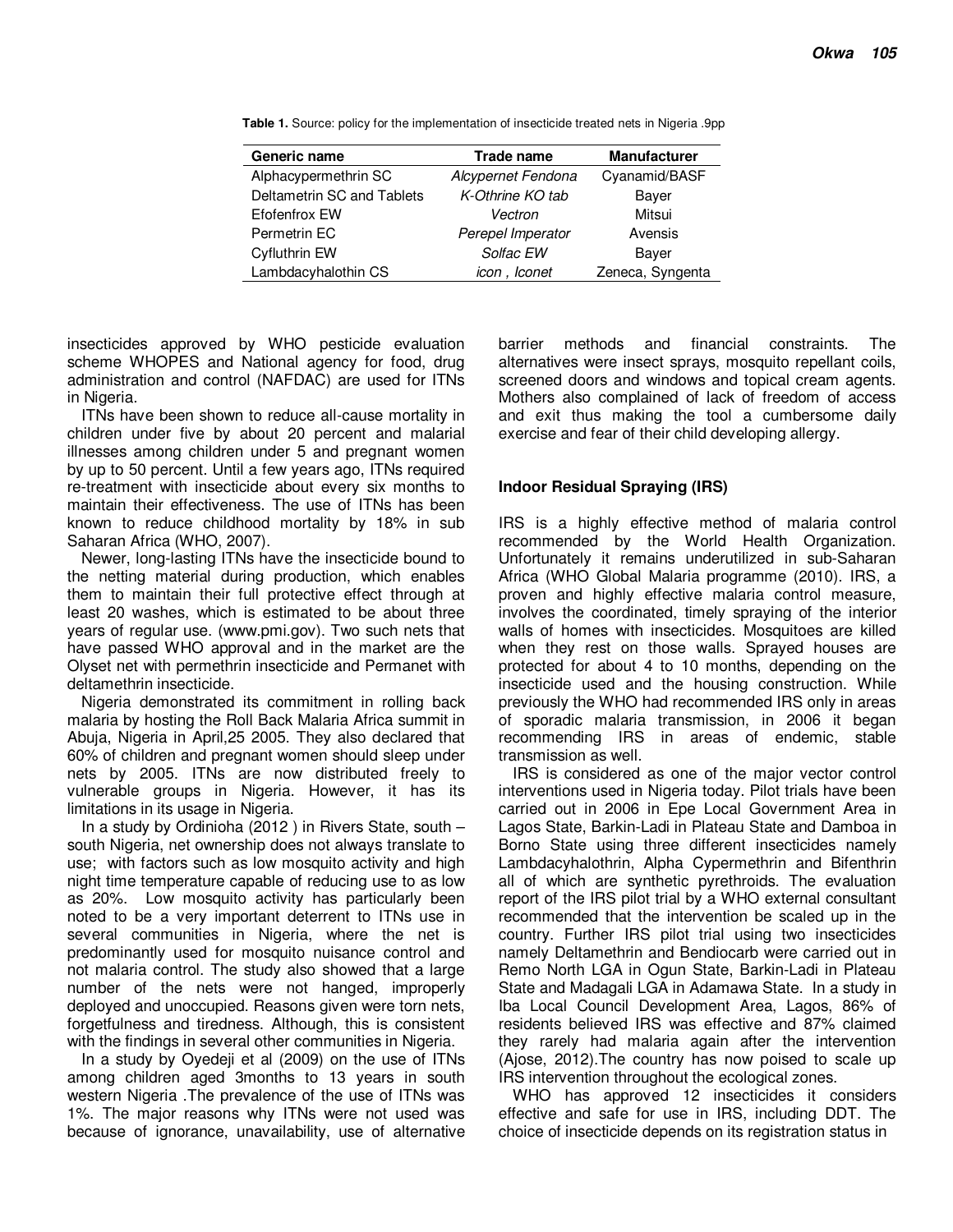| Generic name               | Trade name         | <b>Manufacturer</b> |
|----------------------------|--------------------|---------------------|
| Alphacypermethrin SC       | Alcypernet Fendona | Cyanamid/BASF       |
| Deltametrin SC and Tablets | K-Othrine KO tab   | Baver               |
| <b>Efofenfrox EW</b>       | Vectron            | Mitsui              |
| Permetrin EC               | Perepel Imperator  | Avensis             |
| Cyfluthrin EW              | Solfac EW          | Bayer               |
| Lambdacyhalothin CS        | icon, Iconet       | Zeneca, Syngenta    |

**Table 1.** Source: policy for the implementation of insecticide treated nets in Nigeria .9pp

insecticides approved by WHO pesticide evaluation scheme WHOPES and National agency for food, drug administration and control (NAFDAC) are used for ITNs in Nigeria.

ITNs have been shown to reduce all-cause mortality in children under five by about 20 percent and malarial illnesses among children under 5 and pregnant women by up to 50 percent. Until a few years ago, ITNs required re-treatment with insecticide about every six months to maintain their effectiveness. The use of ITNs has been known to reduce childhood mortality by 18% in sub Saharan Africa (WHO, 2007).

Newer, long-lasting ITNs have the insecticide bound to the netting material during production, which enables them to maintain their full protective effect through at least 20 washes, which is estimated to be about three years of regular use. (www.pmi.gov). Two such nets that have passed WHO approval and in the market are the Olyset net with permethrin insecticide and Permanet with deltamethrin insecticide.

Nigeria demonstrated its commitment in rolling back malaria by hosting the Roll Back Malaria Africa summit in Abuja, Nigeria in April,25 2005. They also declared that 60% of children and pregnant women should sleep under nets by 2005. ITNs are now distributed freely to vulnerable groups in Nigeria. However, it has its limitations in its usage in Nigeria.

In a study by Ordinioha (2012 ) in Rivers State, south – south Nigeria, net ownership does not always translate to use; with factors such as low mosquito activity and high night time temperature capable of reducing use to as low as 20%. Low mosquito activity has particularly been noted to be a very important deterrent to ITNs use in several communities in Nigeria, where the net is predominantly used for mosquito nuisance control and not malaria control. The study also showed that a large number of the nets were not hanged, improperly deployed and unoccupied. Reasons given were torn nets, forgetfulness and tiredness. Although, this is consistent with the findings in several other communities in Nigeria.

In a study by Oyedeji et al (2009) on the use of ITNs among children aged 3months to 13 years in south western Nigeria .The prevalence of the use of ITNs was 1%. The major reasons why ITNs were not used was because of ignorance, unavailability, use of alternative barrier methods and financial constraints. The alternatives were insect sprays, mosquito repellant coils, screened doors and windows and topical cream agents. Mothers also complained of lack of freedom of access and exit thus making the tool a cumbersome daily exercise and fear of their child developing allergy.

### **Indoor Residual Spraying (IRS)**

IRS is a highly effective method of malaria control recommended by the World Health Organization. Unfortunately it remains underutilized in sub-Saharan Africa (WHO Global Malaria programme (2010). IRS, a proven and highly effective malaria control measure, involves the coordinated, timely spraying of the interior walls of homes with insecticides. Mosquitoes are killed when they rest on those walls. Sprayed houses are protected for about 4 to 10 months, depending on the insecticide used and the housing construction. While previously the WHO had recommended IRS only in areas of sporadic malaria transmission, in 2006 it began recommending IRS in areas of endemic, stable transmission as well.

IRS is considered as one of the major vector control interventions used in Nigeria today. Pilot trials have been carried out in 2006 in Epe Local Government Area in Lagos State, Barkin-Ladi in Plateau State and Damboa in Borno State using three different insecticides namely Lambdacyhalothrin, Alpha Cypermethrin and Bifenthrin all of which are synthetic pyrethroids. The evaluation report of the IRS pilot trial by a WHO external consultant recommended that the intervention be scaled up in the country. Further IRS pilot trial using two insecticides namely Deltamethrin and Bendiocarb were carried out in Remo North LGA in Ogun State, Barkin-Ladi in Plateau State and Madagali LGA in Adamawa State. In a study in Iba Local Council Development Area, Lagos, 86% of residents believed IRS was effective and 87% claimed they rarely had malaria again after the intervention (Ajose, 2012).The country has now poised to scale up IRS intervention throughout the ecological zones.

WHO has approved 12 insecticides it considers effective and safe for use in IRS, including DDT. The choice of insecticide depends on its registration status in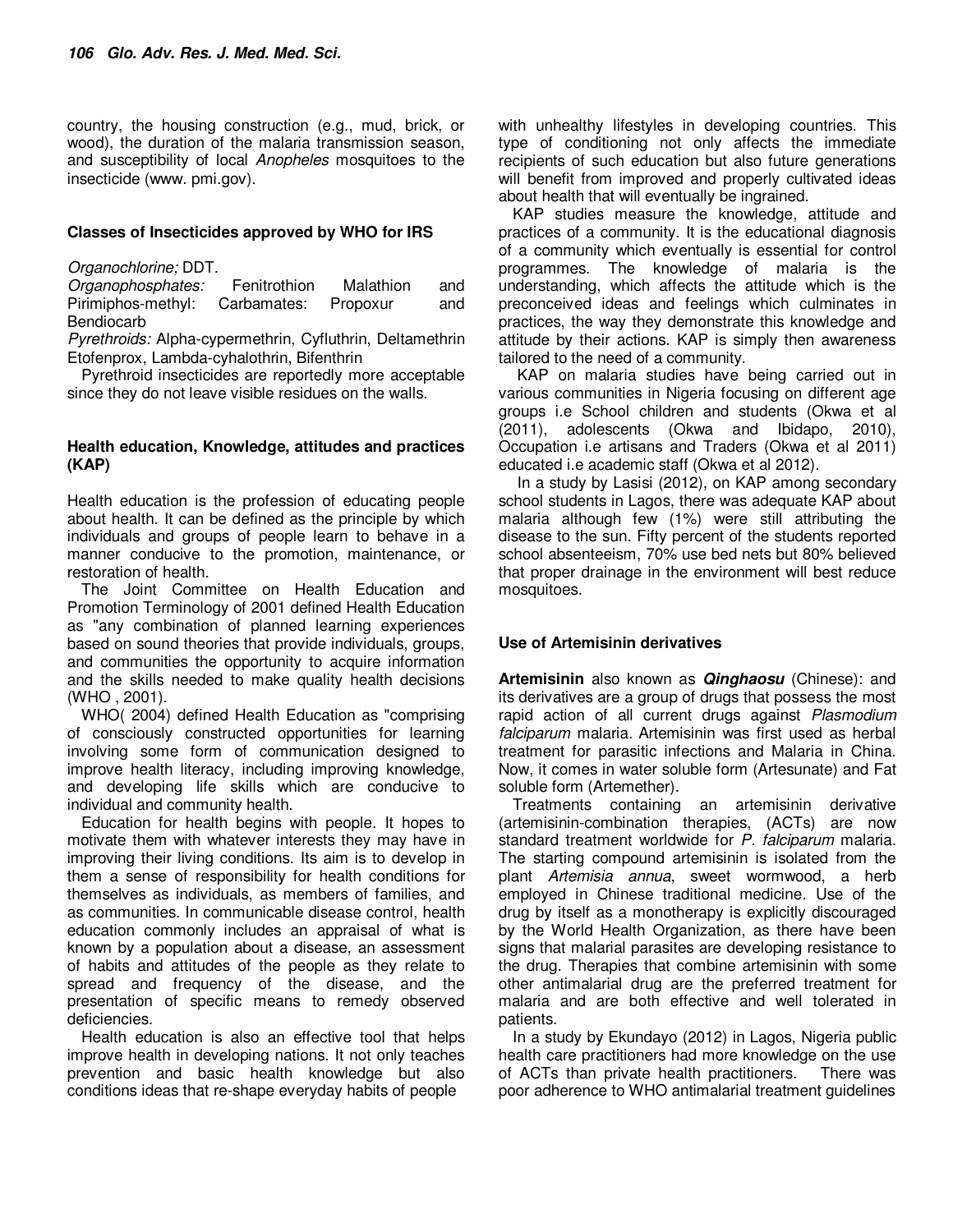country, the housing construction (e.g., mud, brick, or wood), the duration of the malaria transmission season, and susceptibility of local *Anopheles* mosquitoes to the insecticide (www. pmi.gov).

#### **Classes of Insecticides approved by WHO for IRS**

*Organochlorine;* DDT.

*Organophosphates:* Fenitrothion Malathion and Pirimiphos-methyl: Carbamates: Propoxur and Bendiocarb

*Pyrethroids:* Alpha-cypermethrin, Cyfluthrin, Deltamethrin Etofenprox, Lambda-cyhalothrin, Bifenthrin

Pyrethroid insecticides are reportedly more acceptable since they do not leave visible residues on the walls.

#### **Health education, Knowledge, attitudes and practices (KAP)**

Health education is the profession of educating people about health. It can be defined as the principle by which individuals and groups of people learn to behave in a manner conducive to the promotion, maintenance, or restoration of health.

The Joint Committee on Health Education and Promotion Terminology of 2001 defined Health Education as "any combination of planned learning experiences based on sound theories that provide individuals, groups, and communities the opportunity to acquire information and the skills needed to make quality health decisions (WHO , 2001).

WHO( 2004) defined Health Education as "comprising of consciously constructed opportunities for learning involving some form of communication designed to improve health literacy, including improving knowledge, and developing life skills which are conducive to individual and community health.

Education for health begins with people. It hopes to motivate them with whatever interests they may have in improving their living conditions. Its aim is to develop in them a sense of responsibility for health conditions for themselves as individuals, as members of families, and as communities. In communicable disease control, health education commonly includes an appraisal of what is known by a population about a disease, an assessment of habits and attitudes of the people as they relate to spread and frequency of the disease, and the presentation of specific means to remedy observed deficiencies.

Health education is also an effective tool that helps improve health in developing nations. It not only teaches prevention and basic health knowledge but also conditions ideas that re-shape everyday habits of people

with unhealthy lifestyles in developing countries. This type of conditioning not only affects the immediate recipients of such education but also future generations will benefit from improved and properly cultivated ideas about health that will eventually be ingrained.

KAP studies measure the knowledge, attitude and practices of a community. It is the educational diagnosis of a community which eventually is essential for control programmes. The knowledge of malaria is the understanding, which affects the attitude which is the preconceived ideas and feelings which culminates in practices, the way they demonstrate this knowledge and attitude by their actions. KAP is simply then awareness tailored to the need of a community.

 KAP on malaria studies have being carried out in various communities in Nigeria focusing on different age groups i.e School children and students (Okwa et al (2011), adolescents (Okwa and Ibidapo, 2010), Occupation i.e artisans and Traders (Okwa et al 2011) educated i.e academic staff (Okwa et al 2012).

 In a study by Lasisi (2012), on KAP among secondary school students in Lagos, there was adequate KAP about malaria although few (1%) were still attributing the disease to the sun. Fifty percent of the students reported school absenteeism, 70% use bed nets but 80% believed that proper drainage in the environment will best reduce mosquitoes.

# **Use of Artemisinin derivatives**

**Artemisinin** also known as **Qinghaosu** (Chinese): and its derivatives are a group of drugs that possess the most rapid action of all current drugs against *Plasmodium falciparum* malaria. Artemisinin was first used as herbal treatment for parasitic infections and Malaria in China. Now, it comes in water soluble form (Artesunate) and Fat soluble form (Artemether).

Treatments containing an artemisinin derivative (artemisinin-combination therapies, (ACTs) are now standard treatment worldwide for *P. falciparum* malaria. The starting compound artemisinin is isolated from the plant *Artemisia annua*, sweet wormwood, a herb employed in Chinese traditional medicine. Use of the drug by itself as a monotherapy is explicitly discouraged by the World Health Organization, as there have been signs that malarial parasites are developing resistance to the drug. Therapies that combine artemisinin with some other antimalarial drug are the preferred treatment for malaria and are both effective and well tolerated in patients.

In a study by Ekundayo (2012) in Lagos, Nigeria public health care practitioners had more knowledge on the use of ACTs than private health practitioners. There was poor adherence to WHO antimalarial treatment guidelines